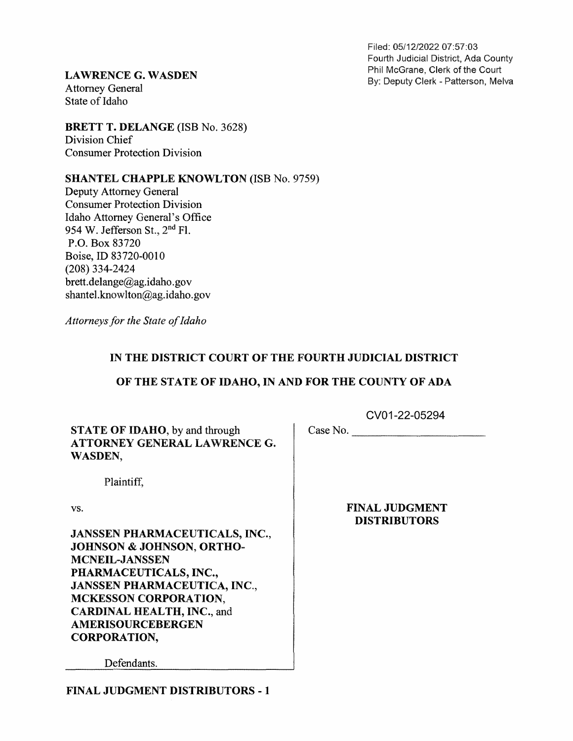Filed: 05/12/2022 07:57:03 Fourth Judicial District, Ada County

**LAWRENCE G. WASDEN** Phil McGrane, Clerk of the Court Phil McGrane, Clerk of the Court Patterson, Melva Attorney General State of Idaho

BRETT T. DELANGE (ISB No. 3628)<br>Division Chief Consumer Protection Division

SHANTEL CHAPPLE KNOWLTON (ISB No. 9759)

Deputy Attorney General Consumer Protection Division Idaho Attorney General's Office 954 W. Jefferson St., 2<sup>nd</sup> Fl. P.O. Box 83720 Boise, ID 83720-0010 (208) 334-2424 brett.delange@ag.idaho.gov shantel.knowlton@ag.idaho.gov

Attorneys for the State of Idaho

## IN THE DISTRICT COURT OF THE FOURTH JUDICIAL DISTRICT

## OF THE STATE OF IDAHO, IN AND FOR THE COUNTY OF ADA

STATE OF IDAHO, by and through ATTORNEY GENERAL LAWRENCE G.

CVO1-22-05294 Case No.

WASDEN,

Plaintiff,

vs.

JANSSEN PHARMACEUTICALS, INC, JOHNSON & JOHNSON, ORTHO-<br>MCNEIL-JANSSEN PHARMACEUTICALS, INC., JANSSEN PHARMACEUTICA, INC.,<br>MCKESSON CORPORATION,<br>CARDINAL HEALTH, INC., and<br>AMERISOURCEBERGEN CORPORATION,

FINAL JUDGMENT DISTRIBUTORS

Defendants.

FINAL JUDGMENT DISTRIBUTORS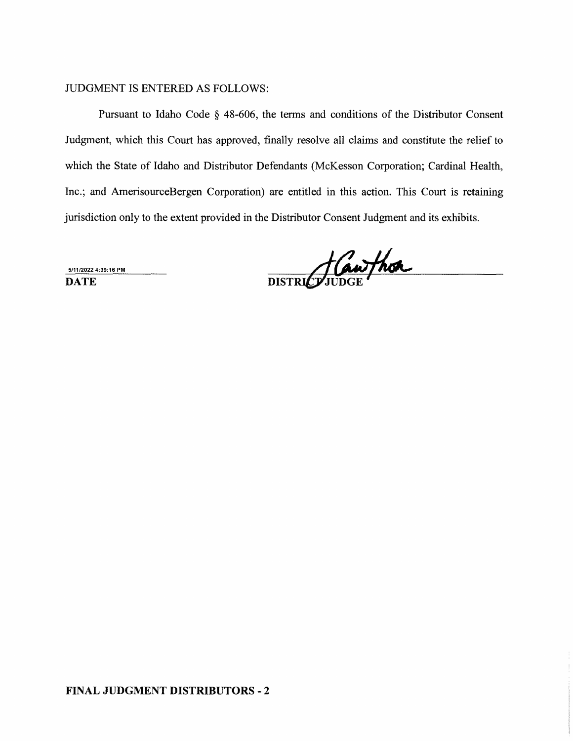## JUDGMENT IS ENTERED AS FOLLOWS:

Pursuant to Idaho Code  $\S$  48-606, the terms and conditions of the Distributor Consent Judgment, which this Court has approved, finally resolve all claims and constitute the relief to which the State of Idaho and Distributor Defendants (McKesson Corporation; Cardinal Health, Inc.; and AmerisourceBergen Corporation) are entitled in this action. This Court is retaining jurisdiction only to the extent provided in the Distributor Consent Judgment and its exhibits.

5/11/2022 4:39:16 PM

DATE DISTRICTIUDGE